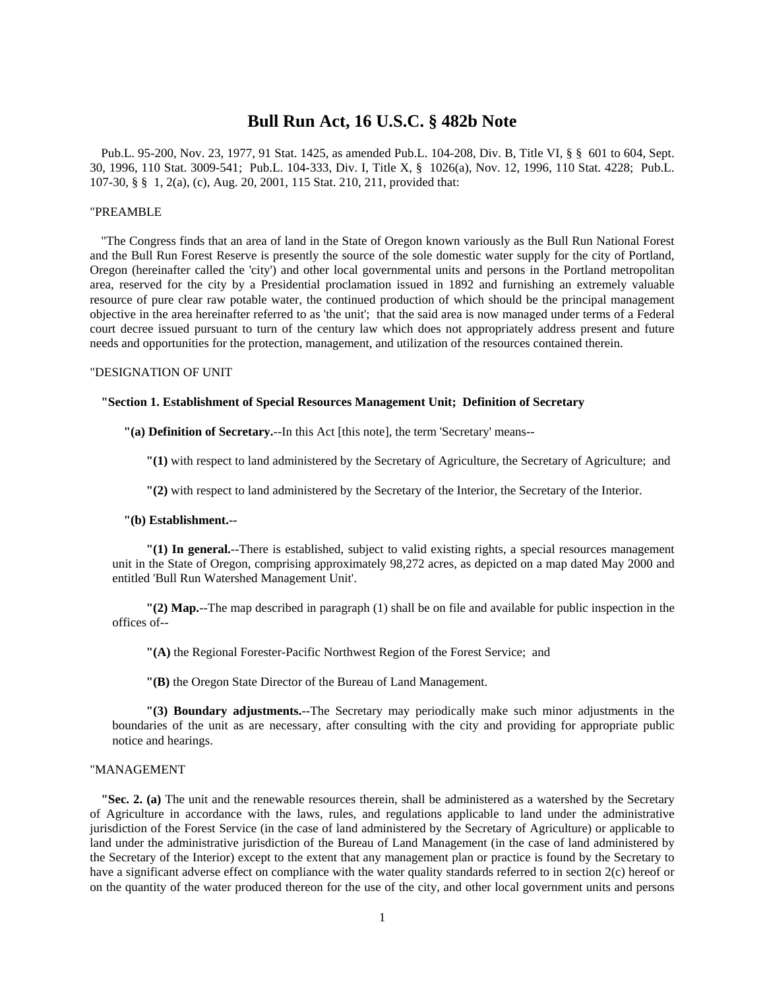# **Bull Run Act, 16 U.S.C. § 482b Note**

Pub.L. 95-200, Nov. 23, 1977, 91 Stat. 1425, as amended Pub.L. 104-208, Div. B, Title VI, § § 601 to 604, Sept. 30, 1996, 110 Stat. 3009-541; Pub.L. 104-333, Div. I, Title X, § 1026(a), Nov. 12, 1996, 110 Stat. 4228; Pub.L. 107-30, § § 1, 2(a), (c), Aug. 20, 2001, 115 Stat. 210, 211, provided that:

#### "PREAMBLE

"The Congress finds that an area of land in the State of Oregon known variously as the Bull Run National Forest and the Bull Run Forest Reserve is presently the source of the sole domestic water supply for the city of Portland, Oregon (hereinafter called the 'city') and other local governmental units and persons in the Portland metropolitan area, reserved for the city by a Presidential proclamation issued in 1892 and furnishing an extremely valuable resource of pure clear raw potable water, the continued production of which should be the principal management objective in the area hereinafter referred to as 'the unit'; that the said area is now managed under terms of a Federal court decree issued pursuant to turn of the century law which does not appropriately address present and future needs and opportunities for the protection, management, and utilization of the resources contained therein.

## "DESIGNATION OF UNIT

#### **"Section 1. Establishment of Special Resources Management Unit; Definition of Secretary**

# **"(a) Definition of Secretary.**--In this Act [this note], the term 'Secretary' means--

**"(1)** with respect to land administered by the Secretary of Agriculture, the Secretary of Agriculture; and

**"(2)** with respect to land administered by the Secretary of the Interior, the Secretary of the Interior.

#### **"(b) Establishment.--**

**"(1) In general.**--There is established, subject to valid existing rights, a special resources management unit in the State of Oregon, comprising approximately 98,272 acres, as depicted on a map dated May 2000 and entitled 'Bull Run Watershed Management Unit'.

**"(2) Map.**--The map described in paragraph (1) shall be on file and available for public inspection in the offices of--

**"(A)** the Regional Forester-Pacific Northwest Region of the Forest Service; and

**"(B)** the Oregon State Director of the Bureau of Land Management.

**"(3) Boundary adjustments.**--The Secretary may periodically make such minor adjustments in the boundaries of the unit as are necessary, after consulting with the city and providing for appropriate public notice and hearings.

# "MANAGEMENT

**"Sec. 2. (a)** The unit and the renewable resources therein, shall be administered as a watershed by the Secretary of Agriculture in accordance with the laws, rules, and regulations applicable to land under the administrative jurisdiction of the Forest Service (in the case of land administered by the Secretary of Agriculture) or applicable to land under the administrative jurisdiction of the Bureau of Land Management (in the case of land administered by the Secretary of the Interior) except to the extent that any management plan or practice is found by the Secretary to have a significant adverse effect on compliance with the water quality standards referred to in section 2(c) hereof or on the quantity of the water produced thereon for the use of the city, and other local government units and persons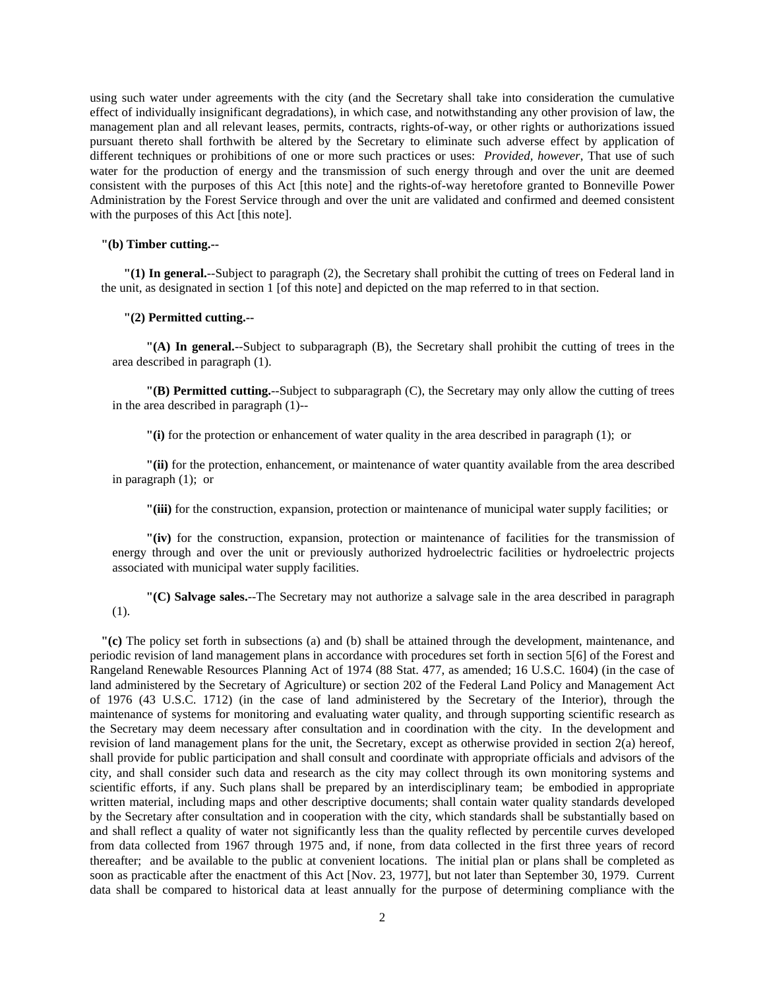using such water under agreements with the city (and the Secretary shall take into consideration the cumulative effect of individually insignificant degradations), in which case, and notwithstanding any other provision of law, the management plan and all relevant leases, permits, contracts, rights-of-way, or other rights or authorizations issued pursuant thereto shall forthwith be altered by the Secretary to eliminate such adverse effect by application of different techniques or prohibitions of one or more such practices or uses: *Provided, however*, That use of such water for the production of energy and the transmission of such energy through and over the unit are deemed consistent with the purposes of this Act [this note] and the rights-of-way heretofore granted to Bonneville Power Administration by the Forest Service through and over the unit are validated and confirmed and deemed consistent with the purposes of this Act [this note].

## **"(b) Timber cutting.--**

**"(1) In general.**--Subject to paragraph (2), the Secretary shall prohibit the cutting of trees on Federal land in the unit, as designated in section 1 [of this note] and depicted on the map referred to in that section.

# **"(2) Permitted cutting.--**

**"(A) In general.**--Subject to subparagraph (B), the Secretary shall prohibit the cutting of trees in the area described in paragraph (1).

**"(B) Permitted cutting.**--Subject to subparagraph (C), the Secretary may only allow the cutting of trees in the area described in paragraph (1)--

**"(i)** for the protection or enhancement of water quality in the area described in paragraph (1); or

**"(ii)** for the protection, enhancement, or maintenance of water quantity available from the area described in paragraph (1); or

**"(iii)** for the construction, expansion, protection or maintenance of municipal water supply facilities; or

**"(iv)** for the construction, expansion, protection or maintenance of facilities for the transmission of energy through and over the unit or previously authorized hydroelectric facilities or hydroelectric projects associated with municipal water supply facilities.

**"(C) Salvage sales.**--The Secretary may not authorize a salvage sale in the area described in paragraph (1).

**"(c)** The policy set forth in subsections (a) and (b) shall be attained through the development, maintenance, and periodic revision of land management plans in accordance with procedures set forth in section 5[6] of the Forest and Rangeland Renewable Resources Planning Act of 1974 (88 Stat. 477, as amended; 16 U.S.C. 1604) (in the case of land administered by the Secretary of Agriculture) or section 202 of the Federal Land Policy and Management Act of 1976 (43 U.S.C. 1712) (in the case of land administered by the Secretary of the Interior), through the maintenance of systems for monitoring and evaluating water quality, and through supporting scientific research as the Secretary may deem necessary after consultation and in coordination with the city. In the development and revision of land management plans for the unit, the Secretary, except as otherwise provided in section 2(a) hereof, shall provide for public participation and shall consult and coordinate with appropriate officials and advisors of the city, and shall consider such data and research as the city may collect through its own monitoring systems and scientific efforts, if any. Such plans shall be prepared by an interdisciplinary team; be embodied in appropriate written material, including maps and other descriptive documents; shall contain water quality standards developed by the Secretary after consultation and in cooperation with the city, which standards shall be substantially based on and shall reflect a quality of water not significantly less than the quality reflected by percentile curves developed from data collected from 1967 through 1975 and, if none, from data collected in the first three years of record thereafter; and be available to the public at convenient locations. The initial plan or plans shall be completed as soon as practicable after the enactment of this Act [Nov. 23, 1977], but not later than September 30, 1979. Current data shall be compared to historical data at least annually for the purpose of determining compliance with the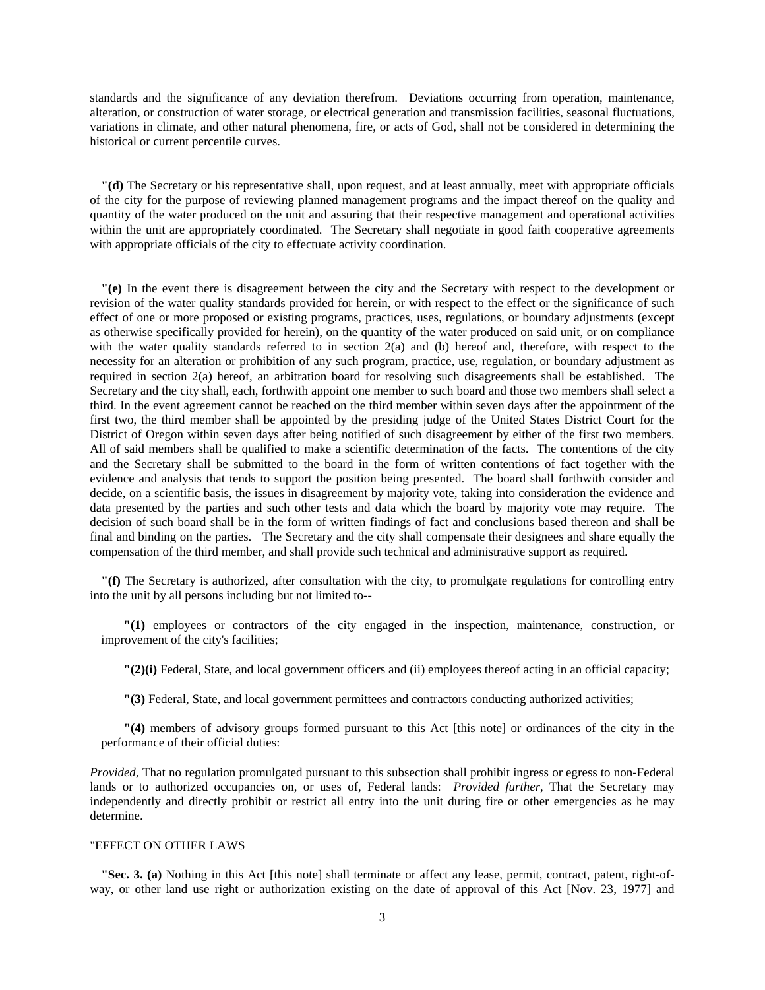standards and the significance of any deviation therefrom. Deviations occurring from operation, maintenance, alteration, or construction of water storage, or electrical generation and transmission facilities, seasonal fluctuations, variations in climate, and other natural phenomena, fire, or acts of God, shall not be considered in determining the historical or current percentile curves.

**"(d)** The Secretary or his representative shall, upon request, and at least annually, meet with appropriate officials of the city for the purpose of reviewing planned management programs and the impact thereof on the quality and quantity of the water produced on the unit and assuring that their respective management and operational activities within the unit are appropriately coordinated. The Secretary shall negotiate in good faith cooperative agreements with appropriate officials of the city to effectuate activity coordination.

**"(e)** In the event there is disagreement between the city and the Secretary with respect to the development or revision of the water quality standards provided for herein, or with respect to the effect or the significance of such effect of one or more proposed or existing programs, practices, uses, regulations, or boundary adjustments (except as otherwise specifically provided for herein), on the quantity of the water produced on said unit, or on compliance with the water quality standards referred to in section 2(a) and (b) hereof and, therefore, with respect to the necessity for an alteration or prohibition of any such program, practice, use, regulation, or boundary adjustment as required in section 2(a) hereof, an arbitration board for resolving such disagreements shall be established. The Secretary and the city shall, each, forthwith appoint one member to such board and those two members shall select a third. In the event agreement cannot be reached on the third member within seven days after the appointment of the first two, the third member shall be appointed by the presiding judge of the United States District Court for the District of Oregon within seven days after being notified of such disagreement by either of the first two members. All of said members shall be qualified to make a scientific determination of the facts. The contentions of the city and the Secretary shall be submitted to the board in the form of written contentions of fact together with the evidence and analysis that tends to support the position being presented. The board shall forthwith consider and decide, on a scientific basis, the issues in disagreement by majority vote, taking into consideration the evidence and data presented by the parties and such other tests and data which the board by majority vote may require. The decision of such board shall be in the form of written findings of fact and conclusions based thereon and shall be final and binding on the parties. The Secretary and the city shall compensate their designees and share equally the compensation of the third member, and shall provide such technical and administrative support as required.

**"(f)** The Secretary is authorized, after consultation with the city, to promulgate regulations for controlling entry into the unit by all persons including but not limited to--

**"(1)** employees or contractors of the city engaged in the inspection, maintenance, construction, or improvement of the city's facilities;

**"(2)(i)** Federal, State, and local government officers and (ii) employees thereof acting in an official capacity;

**"(3)** Federal, State, and local government permittees and contractors conducting authorized activities;

**"(4)** members of advisory groups formed pursuant to this Act [this note] or ordinances of the city in the performance of their official duties:

*Provided*, That no regulation promulgated pursuant to this subsection shall prohibit ingress or egress to non-Federal lands or to authorized occupancies on, or uses of, Federal lands: *Provided further*, That the Secretary may independently and directly prohibit or restrict all entry into the unit during fire or other emergencies as he may determine.

## "EFFECT ON OTHER LAWS

**"Sec. 3. (a)** Nothing in this Act [this note] shall terminate or affect any lease, permit, contract, patent, right-ofway, or other land use right or authorization existing on the date of approval of this Act [Nov. 23, 1977] and